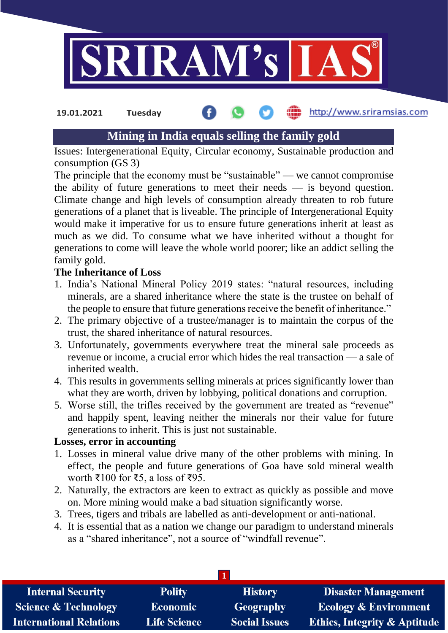

#### http://www.sriramsias.com **19.01.2021 Tuesday**

# **Mining in India equals selling the family gold**

Issues: Intergenerational Equity, Circular economy, Sustainable production and consumption (GS 3)

The principle that the economy must be "sustainable" — we cannot compromise the ability of future generations to meet their needs — is beyond question. Climate change and high levels of consumption already threaten to rob future generations of a planet that is liveable. The principle of Intergenerational Equity would make it imperative for us to ensure future generations inherit at least as much as we did. To consume what we have inherited without a thought for generations to come will leave the whole world poorer; like an addict selling the family gold.

# **The Inheritance of Loss**

- 1. India's National Mineral Policy 2019 states: "natural resources, including minerals, are a shared inheritance where the state is the trustee on behalf of the people to ensure that future generations receive the benefit of inheritance."
- 2. The primary objective of a trustee/manager is to maintain the corpus of the trust, the shared inheritance of natural resources.
- 3. Unfortunately, governments everywhere treat the mineral sale proceeds as revenue or income, a crucial error which hides the real transaction — a sale of inherited wealth.
- 4. This results in governments selling minerals at prices significantly lower than what they are worth, driven by lobbying, political donations and corruption.
- 5. Worse still, the trifles received by the government are treated as "revenue" and happily spent, leaving neither the minerals nor their value for future generations to inherit. This is just not sustainable.

#### **Losses, error in accounting**

- 1. Losses in mineral value drive many of the other problems with mining. In effect, the people and future generations of Goa have sold mineral wealth worth ₹100 for ₹5, a loss of ₹95.
- 2. Naturally, the extractors are keen to extract as quickly as possible and move on. More mining would make a bad situation significantly worse.
- 3. Trees, tigers and tribals are labelled as anti-development or anti-national.
- 4. It is essential that as a nation we change our paradigm to understand minerals as a "shared inheritance", not a source of "windfall revenue".

| <b>Internal Security</b>        | <b>Polity</b>       | <b>History</b>       | <b>Disaster Management</b>              |  |  |
|---------------------------------|---------------------|----------------------|-----------------------------------------|--|--|
| <b>Science &amp; Technology</b> | <b>Economic</b>     | Geography            | <b>Ecology &amp; Environment</b>        |  |  |
| <b>International Relations</b>  | <b>Life Science</b> | <b>Social Issues</b> | <b>Ethics, Integrity &amp; Aptitude</b> |  |  |